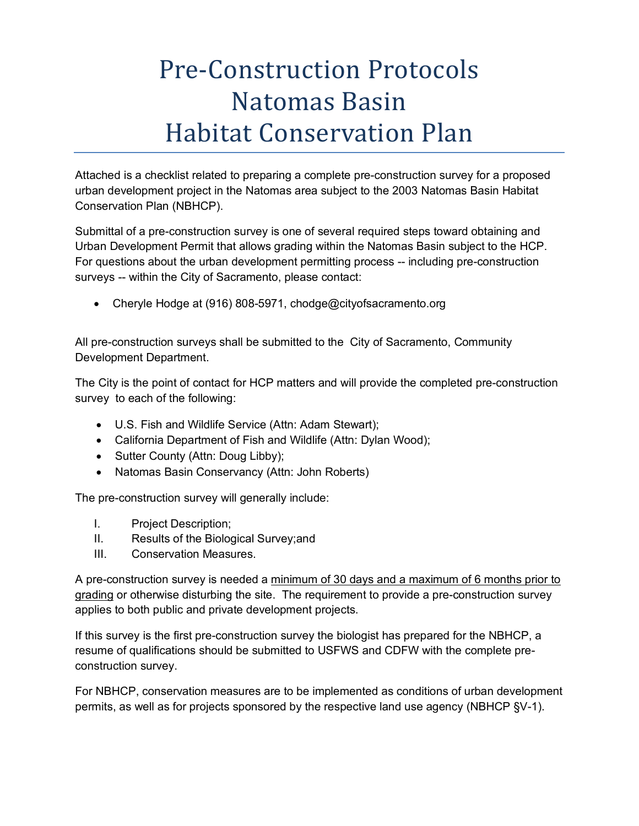## Pre-Construction Protocols Natomas Basin Habitat Conservation Plan

Attached is a checklist related to preparing a complete pre-construction survey for a proposed urban development project in the Natomas area subject to the 2003 Natomas Basin Habitat Conservation Plan (NBHCP).

Submittal of a pre-construction survey is one of several required steps toward obtaining and Urban Development Permit that allows grading within the Natomas Basin subject to the HCP. For questions about the urban development permitting process -- including pre-construction surveys -- within the City of Sacramento, please contact:

• Cheryle Hodge at (916) 808-5971, chodge@cityofsacramento.org

All pre-construction surveys shall be submitted to the City of Sacramento, Community Development Department.

The City is the point of contact for HCP matters and will provide the completed pre-construction survey to each of the following:

- U.S. Fish and Wildlife Service (Attn: Adam Stewart);
- California Department of Fish and Wildlife (Attn: Dylan Wood);
- Sutter County (Attn: Doug Libby);
- Natomas Basin Conservancy (Attn: John Roberts)

The pre-construction survey will generally include:

- I. Project Description;
- II. Results of the Biological Survey;and
- III. Conservation Measures.

A pre-construction survey is needed a minimum of 30 days and a maximum of 6 months prior to grading or otherwise disturbing the site. The requirement to provide a pre-construction survey applies to both public and private development projects.

If this survey is the first pre-construction survey the biologist has prepared for the NBHCP, a resume of qualifications should be submitted to USFWS and CDFW with the complete preconstruction survey.

For NBHCP, conservation measures are to be implemented as conditions of urban development permits, as well as for projects sponsored by the respective land use agency (NBHCP §V-1).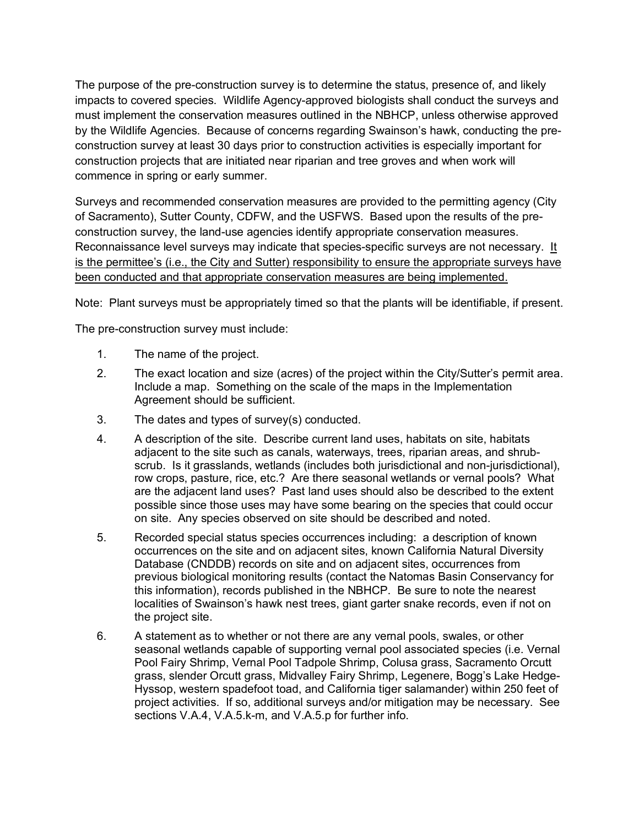The purpose of the pre-construction survey is to determine the status, presence of, and likely impacts to covered species. Wildlife Agency-approved biologists shall conduct the surveys and must implement the conservation measures outlined in the NBHCP, unless otherwise approved by the Wildlife Agencies. Because of concerns regarding Swainson's hawk, conducting the preconstruction survey at least 30 days prior to construction activities is especially important for construction projects that are initiated near riparian and tree groves and when work will commence in spring or early summer.

Surveys and recommended conservation measures are provided to the permitting agency (City of Sacramento), Sutter County, CDFW, and the USFWS. Based upon the results of the preconstruction survey, the land-use agencies identify appropriate conservation measures. Reconnaissance level surveys may indicate that species-specific surveys are not necessary. It is the permittee's (i.e., the City and Sutter) responsibility to ensure the appropriate surveys have been conducted and that appropriate conservation measures are being implemented.

Note: Plant surveys must be appropriately timed so that the plants will be identifiable, if present.

The pre-construction survey must include:

- 1. The name of the project.
- 2. The exact location and size (acres) of the project within the City/Sutter's permit area. Include a map. Something on the scale of the maps in the Implementation Agreement should be sufficient.
- 3. The dates and types of survey(s) conducted.
- 4. A description of the site. Describe current land uses, habitats on site, habitats adjacent to the site such as canals, waterways, trees, riparian areas, and shrubscrub. Is it grasslands, wetlands (includes both jurisdictional and non-jurisdictional), row crops, pasture, rice, etc.? Are there seasonal wetlands or vernal pools? What are the adjacent land uses? Past land uses should also be described to the extent possible since those uses may have some bearing on the species that could occur on site. Any species observed on site should be described and noted.
- 5. Recorded special status species occurrences including: a description of known occurrences on the site and on adjacent sites, known California Natural Diversity Database (CNDDB) records on site and on adjacent sites, occurrences from previous biological monitoring results (contact the Natomas Basin Conservancy for this information), records published in the NBHCP. Be sure to note the nearest localities of Swainson's hawk nest trees, giant garter snake records, even if not on the project site.
- 6. A statement as to whether or not there are any vernal pools, swales, or other seasonal wetlands capable of supporting vernal pool associated species (i.e. Vernal Pool Fairy Shrimp, Vernal Pool Tadpole Shrimp, Colusa grass, Sacramento Orcutt grass, slender Orcutt grass, Midvalley Fairy Shrimp, Legenere, Bogg's Lake Hedge-Hyssop, western spadefoot toad, and California tiger salamander) within 250 feet of project activities. If so, additional surveys and/or mitigation may be necessary. See sections V.A.4, V.A.5.k-m, and V.A.5.p for further info.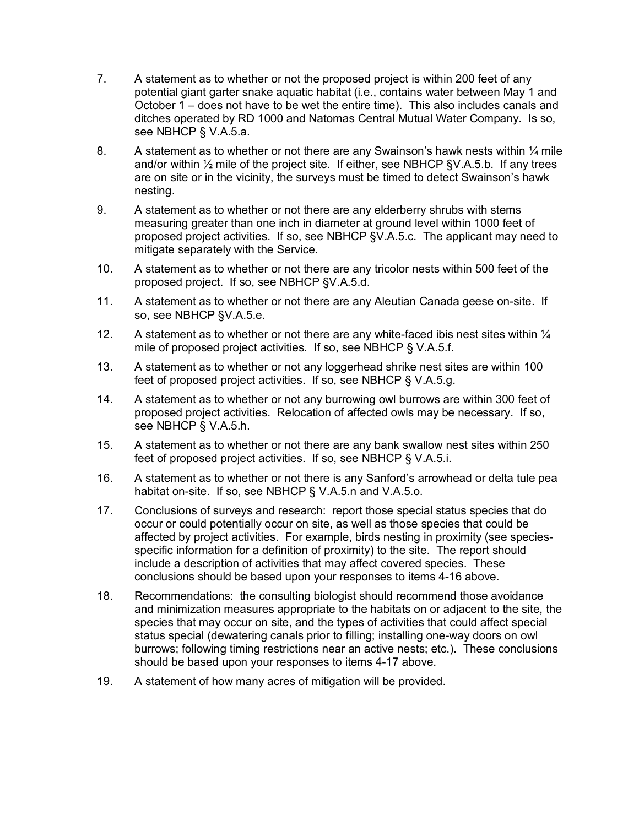- 7. A statement as to whether or not the proposed project is within 200 feet of any potential giant garter snake aquatic habitat (i.e., contains water between May 1 and October 1 – does not have to be wet the entire time). This also includes canals and ditches operated by RD 1000 and Natomas Central Mutual Water Company. Is so, see NBHCP § V.A.5.a.
- 8. A statement as to whether or not there are any Swainson's hawk nests within  $\frac{1}{4}$  mile and/or within  $\frac{1}{2}$  mile of the project site. If either, see NBHCP §V.A.5.b. If any trees are on site or in the vicinity, the surveys must be timed to detect Swainson's hawk nesting.
- 9. A statement as to whether or not there are any elderberry shrubs with stems measuring greater than one inch in diameter at ground level within 1000 feet of proposed project activities. If so, see NBHCP §V.A.5.c. The applicant may need to mitigate separately with the Service.
- 10. A statement as to whether or not there are any tricolor nests within 500 feet of the proposed project. If so, see NBHCP §V.A.5.d.
- 11. A statement as to whether or not there are any Aleutian Canada geese on-site. If so, see NBHCP §V.A.5.e.
- 12. A statement as to whether or not there are any white-faced ibis nest sites within  $\frac{1}{4}$ mile of proposed project activities. If so, see NBHCP § V.A.5.f.
- 13. A statement as to whether or not any loggerhead shrike nest sites are within 100 feet of proposed project activities. If so, see NBHCP § V.A.5.g.
- 14. A statement as to whether or not any burrowing owl burrows are within 300 feet of proposed project activities. Relocation of affected owls may be necessary. If so, see NBHCP § V.A.5.h.
- 15. A statement as to whether or not there are any bank swallow nest sites within 250 feet of proposed project activities. If so, see NBHCP § V.A.5.i.
- 16. A statement as to whether or not there is any Sanford's arrowhead or delta tule pea habitat on-site. If so, see NBHCP § V.A.5.n and V.A.5.o.
- 17. Conclusions of surveys and research: report those special status species that do occur or could potentially occur on site, as well as those species that could be affected by project activities. For example, birds nesting in proximity (see speciesspecific information for a definition of proximity) to the site. The report should include a description of activities that may affect covered species. These conclusions should be based upon your responses to items 4-16 above.
- 18. Recommendations: the consulting biologist should recommend those avoidance and minimization measures appropriate to the habitats on or adjacent to the site, the species that may occur on site, and the types of activities that could affect special status special (dewatering canals prior to filling; installing one-way doors on owl burrows; following timing restrictions near an active nests; etc.). These conclusions should be based upon your responses to items 4-17 above.
- 19. A statement of how many acres of mitigation will be provided.